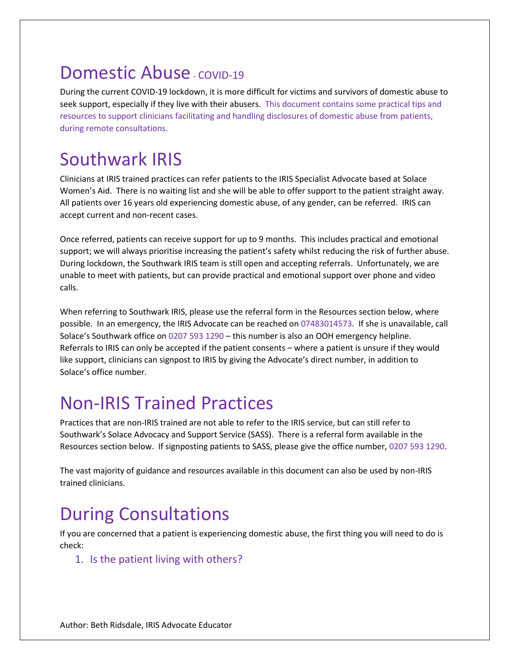## Domestic Abuse - COVID-19

During the current COVID-19 lockdown, it is more difficult for victims and survivors of domestic abuse to seek support, especially if they live with their abusers. This document contains some practical tips and resources to support clinicians facilitating and handling disclosures of domestic abuse from patients, during remote consultations.

## Southwark IRIS

Clinicians at IRIS trained practices can refer patients to the IRIS Specialist Advocate based at Solace Women's Aid. There is no waiting list and she will be able to offer support to the patient straight away. All patients over 16 years old experiencing domestic abuse, of any gender, can be referred. IRIS can accept current and non-recent cases.

Once referred, patients can receive support for up to 9 months. This includes practical and emotional support; we will always prioritise increasing the patient's safety whilst reducing the risk of further abuse. During lockdown, the Southwark IRIS team is still open and accepting referrals. Unfortunately, we are unable to meet with patients, but can provide practical and emotional support over phone and video calls.

When referring to Southwark IRIS, please use the referral form in the Resources section below, where possible. In an emergency, the IRIS Advocate can be reached on 07483014573. If she is unavailable, call Solace's Southwark office on 0207 593 1290 – this number is also an OOH emergency helpline. Referrals to IRIS can only be accepted if the patient consents – where a patient is unsure if they would like support, clinicians can signpost to IRIS by giving the Advocate's direct number, in addition to Solace's office number.

## Non-IRIS Trained Practices

Practices that are non-IRIS trained are not able to refer to the IRIS service, but can still refer to Southwark's Solace Advocacy and Support Service (SASS). There is a referral form available in the Resources section below. If signposting patients to SASS, please give the office number, 0207 593 1290.

The vast majority of guidance and resources available in this document can also be used by non-IRIS trained clinicians.

# During Consultations

If you are concerned that a patient is experiencing domestic abuse, the first thing you will need to do is check:

### 1. Is the patient living with others?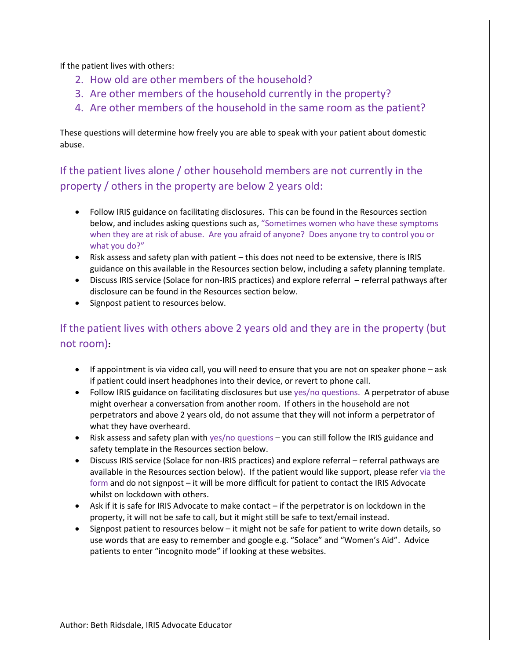If the patient lives with others:

- 2. How old are other members of the household?
- 3. Are other members of the household currently in the property?
- 4. Are other members of the household in the same room as the patient?

These questions will determine how freely you are able to speak with your patient about domestic abuse.

If the patient lives alone / other household members are not currently in the property / others in the property are below 2 years old:

- Follow IRIS guidance on facilitating disclosures. This can be found in the Resources section below, and includes asking questions such as, "Sometimes women who have these symptoms when they are at risk of abuse. Are you afraid of anyone? Does anyone try to control you or what you do?"
- Risk assess and safety plan with patient this does not need to be extensive, there is IRIS guidance on this available in the Resources section below, including a safety planning template.
- Discuss IRIS service (Solace for non-IRIS practices) and explore referral referral pathways after disclosure can be found in the Resources section below.
- Signpost patient to resources below.

## If the patient lives with others above 2 years old and they are in the property (but not room)**:**

- If appointment is via video call, you will need to ensure that you are not on speaker phone ask if patient could insert headphones into their device, or revert to phone call.
- Follow IRIS guidance on facilitating disclosures but use yes/no questions. A perpetrator of abuse might overhear a conversation from another room. If others in the household are not perpetrators and above 2 years old, do not assume that they will not inform a perpetrator of what they have overheard.
- Risk assess and safety plan with yes/no questions you can still follow the IRIS guidance and safety template in the Resources section below.
- Discuss IRIS service (Solace for non-IRIS practices) and explore referral referral pathways are available in the Resources section below). If the patient would like support, please refer via the form and do not signpost – it will be more difficult for patient to contact the IRIS Advocate whilst on lockdown with others.
- Ask if it is safe for IRIS Advocate to make contact if the perpetrator is on lockdown in the property, it will not be safe to call, but it might still be safe to text/email instead.
- Signpost patient to resources below it might not be safe for patient to write down details, so use words that are easy to remember and google e.g. "Solace" and "Women's Aid". Advice patients to enter "incognito mode" if looking at these websites.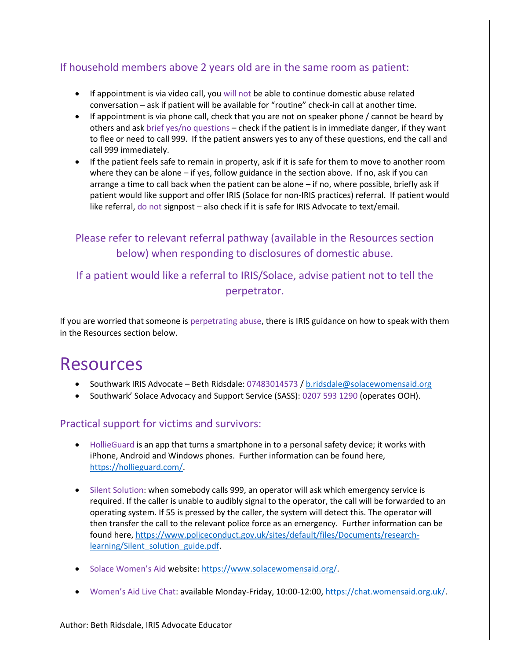### If household members above 2 years old are in the same room as patient:

- If appointment is via video call, you will not be able to continue domestic abuse related conversation – ask if patient will be available for "routine" check-in call at another time.
- If appointment is via phone call, check that you are not on speaker phone / cannot be heard by others and ask brief yes/no questions – check if the patient is in immediate danger, if they want to flee or need to call 999. If the patient answers yes to any of these questions, end the call and call 999 immediately.
- If the patient feels safe to remain in property, ask if it is safe for them to move to another room where they can be alone – if yes, follow guidance in the section above. If no, ask if you can arrange a time to call back when the patient can be alone – if no, where possible, briefly ask if patient would like support and offer IRIS (Solace for non-IRIS practices) referral. If patient would like referral, do not signpost – also check if it is safe for IRIS Advocate to text/email.

## Please refer to relevant referral pathway (available in the Resources section below) when responding to disclosures of domestic abuse.

### If a patient would like a referral to IRIS/Solace, advise patient not to tell the perpetrator.

If you are worried that someone is perpetrating abuse, there is IRIS guidance on how to speak with them in the Resources section below.

## Resources

- Southwark IRIS Advocate Beth Ridsdale: 07483014573 / [b.ridsdale@solacewomensaid.org](mailto:b.ridsdale@solacewomensaid.org)
- Southwark' Solace Advocacy and Support Service (SASS): 0207 593 1290 (operates OOH).

#### Practical support for victims and survivors:

- HollieGuard is an app that turns a smartphone in to a personal safety device; it works with iPhone, Android and Windows phones. Further information can be found here, [https://hollieguard.com/.](https://www.gingerbread.org.uk/coronavirus/)
- Silent Solution: when somebody calls 999, an operator will ask which emergency service is required. If the caller is unable to audibly signal to the operator, the call will be forwarded to an operating system. If 55 is pressed by the caller, the system will detect this. The operator will then transfer the call to the relevant police force as an emergency. Further information can be found here, [https://www.policeconduct.gov.uk/sites/default/files/Documents/research](https://elearning.rcgp.org.uk/pluginfile.php/149180/mod_resource/content/2/COVID-19%20and%20Safeguarding%20(6).pdf)[learning/Silent\\_solution\\_guide.pdf.](https://elearning.rcgp.org.uk/pluginfile.php/149180/mod_resource/content/2/COVID-19%20and%20Safeguarding%20(6).pdf)
- Solace Women's Aid website: [https://www.solacewomensaid.org/.](https://www.migrantinfohub.co.uk/)
- Women's Aid Live Chat: available Monday-Friday, 10:00-12:00[, https://chat.womensaid.org.uk/.](https://chat.womensaid.org.uk/)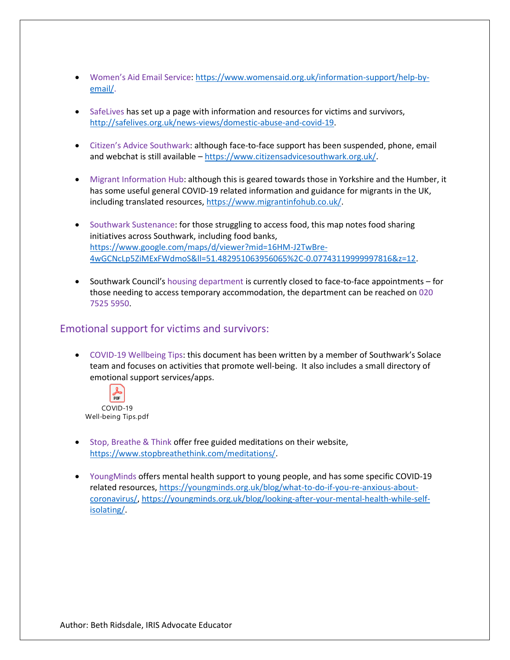- Women's Aid Email Service: [https://www.womensaid.org.uk/information-support/help-by](https://hollieguard.com/)[email/.](https://hollieguard.com/)
- SafeLives has set up a page with information and resources for victims and survivors, [http://safelives.org.uk/news-views/domestic-abuse-and-covid-19.](http://safelives.org.uk/news-views/domestic-abuse-and-covid-19)
- Citizen's Advice Southwark: although face-to-face support has been suspended, phone, email and webchat is still available – [https://www.citizensadvicesouthwark.org.uk/.](https://www.policeconduct.gov.uk/sites/default/files/Documents/research-learning/Silent_solution_guide.pdf)
- Migrant Information Hub: although this is geared towards those in Yorkshire and the Humber, it has some useful general COVID-19 related information and guidance for migrants in the UK, including translated resources, [https://www.migrantinfohub.co.uk/.](https://youngminds.org.uk/blog/what-to-do-if-you-re-anxious-about-coronavirus/)
- Southwark Sustenance: for those struggling to access food, this map notes food sharing initiatives across Southwark, including food banks, [https://www.google.com/maps/d/viewer?mid=16HM-J2TwBre-](https://www.google.com/maps/d/viewer?mid=16HM-J2TwBre-4wGCNcLp5ZiMExFWdmoS&ll=51.482951063956065%2C-0.07743119999997816&z=12)[4wGCNcLp5ZiMExFWdmoS&ll=51.482951063956065%2C-0.07743119999997816&z=12.](https://www.google.com/maps/d/viewer?mid=16HM-J2TwBre-4wGCNcLp5ZiMExFWdmoS&ll=51.482951063956065%2C-0.07743119999997816&z=12)
- Southwark Council's housing department is currently closed to face-to-face appointments for those needing to access temporary accommodation, the department can be reached on 020 7525 5950.

#### Emotional support for victims and survivors:

• COVID-19 Wellbeing Tips: this document has been written by a member of Southwark's Solace team and focuses on activities that promote well-being. It also includes a small directory of emotional support services/apps.



- Stop, Breathe & Think offer free guided meditations on their website, [https://www.stopbreathethink.com/meditations/.](https://www.stopbreathethink.com/meditations/)
- YoungMinds offers mental health support to young people, and has some specific COVID-19 related resources, [https://youngminds.org.uk/blog/what-to-do-if-you-re-anxious-about](https://youngminds.org.uk/blog/talking-to-your-child-about-coronavirus/)[coronavirus/,](https://youngminds.org.uk/blog/talking-to-your-child-about-coronavirus/) [https://youngminds.org.uk/blog/looking-after-your-mental-health-while-self](https://youngminds.org.uk/blog/looking-after-your-mental-health-while-self-isolating/)[isolating/.](https://youngminds.org.uk/blog/looking-after-your-mental-health-while-self-isolating/)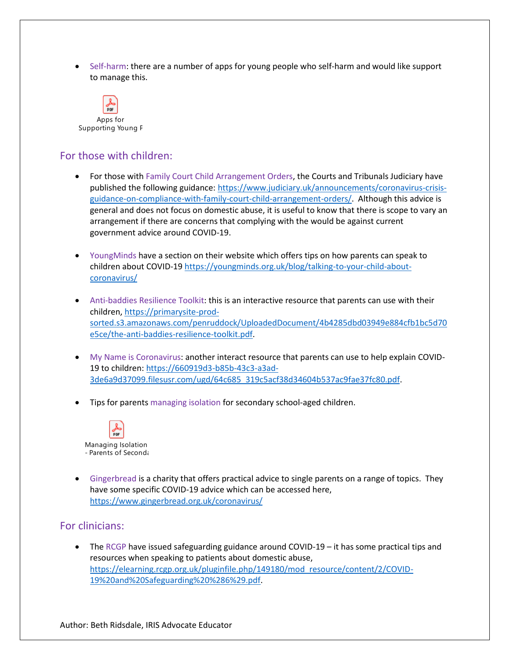• Self-harm: there are a number of apps for young people who self-harm and would like support to manage this.



#### For those with children:

- For those with Family Court Child Arrangement Orders, the Courts and Tribunals Judiciary have published the following guidance: [https://www.judiciary.uk/announcements/coronavirus-crisis](https://www.judiciary.uk/announcements/coronavirus-crisis-guidance-on-compliance-with-family-court-child-arrangement-orders/)[guidance-on-compliance-with-family-court-child-arrangement-orders/.](https://www.judiciary.uk/announcements/coronavirus-crisis-guidance-on-compliance-with-family-court-child-arrangement-orders/) Although this advice is general and does not focus on domestic abuse, it is useful to know that there is scope to vary an arrangement if there are concerns that complying with the would be against current government advice around COVID-19.
- YoungMinds have a section on their website which offers tips on how parents can speak to children about COVID-1[9 https://youngminds.org.uk/blog/talking-to-your-child-about](https://www.womensaid.org.uk/information-support/help-by-email/)[coronavirus/](https://www.womensaid.org.uk/information-support/help-by-email/)
- Anti-baddies Resilience Toolkit: this is an interactive resource that parents can use with their children[, https://primarysite-prod](https://primarysite-prod-sorted.s3.amazonaws.com/penruddock/UploadedDocument/4b4285dbd03949e884cfb1bc5d70e5ce/the-anti-baddies-resilience-toolkit.pdf)[sorted.s3.amazonaws.com/penruddock/UploadedDocument/4b4285dbd03949e884cfb1bc5d70](https://primarysite-prod-sorted.s3.amazonaws.com/penruddock/UploadedDocument/4b4285dbd03949e884cfb1bc5d70e5ce/the-anti-baddies-resilience-toolkit.pdf) [e5ce/the-anti-baddies-resilience-toolkit.pdf.](https://primarysite-prod-sorted.s3.amazonaws.com/penruddock/UploadedDocument/4b4285dbd03949e884cfb1bc5d70e5ce/the-anti-baddies-resilience-toolkit.pdf)
- My Name is Coronavirus: another interact resource that parents can use to help explain COVID-19 to children: [https://660919d3-b85b-43c3-a3ad-](https://www.citizensadvicesouthwark.org.uk/)[3de6a9d37099.filesusr.com/ugd/64c685\\_319c5acf38d34604b537ac9fae37fc80.pdf.](https://www.citizensadvicesouthwark.org.uk/)
- Tips for parents managing isolation for secondary school-aged children.



• Gingerbread is a charity that offers practical advice to single parents on a range of topics. They have some specific COVID-19 advice which can be accessed here, [https://www.gingerbread.org.uk/coronavirus/](https://660919d3-b85b-43c3-a3ad-3de6a9d37099.filesusr.com/ugd/64c685_319c5acf38d34604b537ac9fae37fc80.pdf)

#### For clinicians:

The RCGP have issued safeguarding guidance around COVID-19  $-$  it has some practical tips and resources when speaking to patients about domestic abuse, [https://elearning.rcgp.org.uk/pluginfile.php/149180/mod\\_resource/content/2/COVID-](https://www.solacewomensaid.org/)[19%20and%20Safeguarding%20%286%29.pdf.](https://www.solacewomensaid.org/)